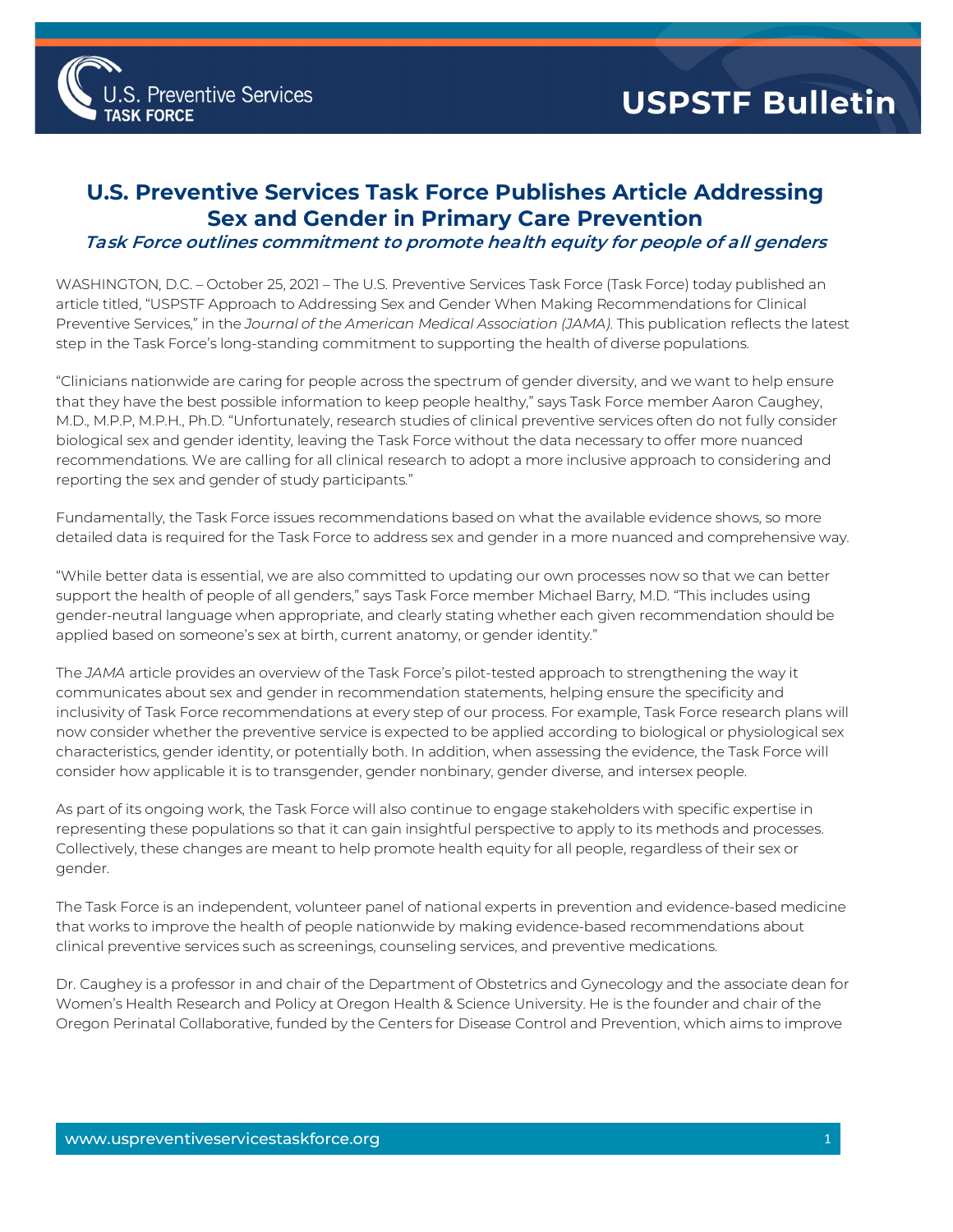

## **U.S. Preventive Services Task Force Publishes Article Addressing Sex and Gender in Primary Care Prevention**

## **Task Force outlines commitment to promote health equity for people of all genders**

WASHINGTON, D.C. – October 25, 2021 – The U.S. Preventive Services Task Force (Task Force) today published an article titled, "USPSTF Approach to Addressing Sex and Gender When Making Recommendations for Clinical Preventive Services," in the *Journal of the American Medical Association (JAMA)*. This publication reflects the latest step in the Task Force's long-standing commitment to supporting the health of diverse populations.

"Clinicians nationwide are caring for people across the spectrum of gender diversity, and we want to help ensure that they have the best possible information to keep people healthy," says Task Force member Aaron Caughey, M.D., M.P.P, M.P.H., Ph.D. "Unfortunately, research studies of clinical preventive services often do not fully consider biological sex and gender identity, leaving the Task Force without the data necessary to offer more nuanced recommendations. We are calling for all clinical research to adopt a more inclusive approach to considering and reporting the sex and gender of study participants."

Fundamentally, the Task Force issues recommendations based on what the available evidence shows, so more detailed data is required for the Task Force to address sex and gender in a more nuanced and comprehensive way.

"While better data is essential, we are also committed to updating our own processes now so that we can better support the health of people of all genders," says Task Force member Michael Barry, M.D. "This includes using gender-neutral language when appropriate, and clearly stating whether each given recommendation should be applied based on someone's sex at birth, current anatomy, or gender identity."

The *JAMA* article provides an overview of the Task Force's pilot-tested approach to strengthening the way it communicates about sex and gender in recommendation statements, helping ensure the specificity and inclusivity of Task Force recommendations at every step of our process. For example, Task Force research plans will now consider whether the preventive service is expected to be applied according to biological or physiological sex characteristics, gender identity, or potentially both. In addition, when assessing the evidence, the Task Force will consider how applicable it is to transgender, gender nonbinary, gender diverse, and intersex people.

As part of its ongoing work, the Task Force will also continue to engage stakeholders with specific expertise in representing these populations so that it can gain insightful perspective to apply to its methods and processes. Collectively, these changes are meant to help promote health equity for all people, regardless of their sex or gender.

The Task Force is an independent, volunteer panel of national experts in prevention and evidence-based medicine that works to improve the health of people nationwide by making evidence-based recommendations about clinical preventive services such as screenings, counseling services, and preventive medications.

Dr. Caughey is a professor in and chair of the Department of Obstetrics and Gynecology and the associate dean for Women's Health Research and Policy at Oregon Health & Science University. He is the founder and chair of the Oregon Perinatal Collaborative, funded by the Centers for Disease Control and Prevention, which aims to improve